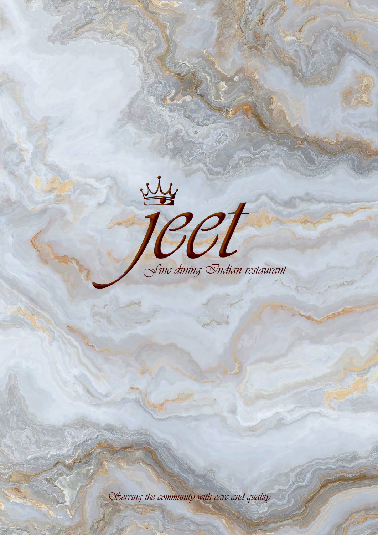Sine dining Indian restaurant

Serving the community with care and quality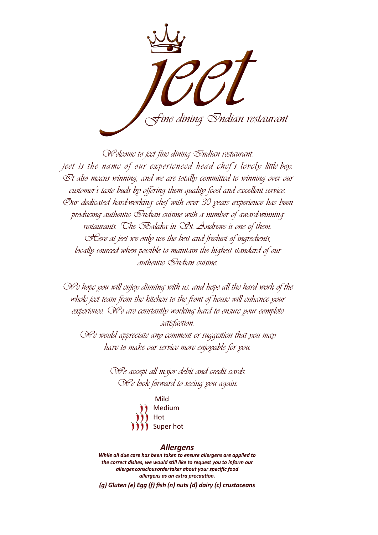

Welcome to jeet fine dining Indian restaurant. jeet is the name of our experienced head chef's lovely little boy.  $\bar{\mathcal{O}}$ t also means winning, and we are totally committed to winning over our customer's taste buds by offering them quality food and excellent service. Our dedicated hard-working chef with over 30 years experience has been producing authentic  $\oslash$ ndian cuisine with a number of award-winning restaurants. The Balaka in St. Andrews is one of them. Here at jeet we only use the best and freshest of ingredients, locally sourced when possible to maintain the highest standard of our authentic Indian cuisine.

We hope you will enjoy dinning with us, and hope all the hard work of the whole jeet team from the kitchen to the front of house will enhance your experience. We are constantly working hard to ensure your complete satisfaction.

We would appreciate any comment or suggestion that you may have to make our service more enjoyable for you.

> We accept all major debit and credit cards. We look forward to seeing you again.

> > Mild Medium Hot Super hot

#### *Allergens*

*While all due care has been taken to ensure allergens are applied to the correct dishes, we would still like to request you to inform our allergenconsciousordertaker about your specific food allergens as an extra precaution.*

*(g) Gluten (e) Egg (f) fish (n) nuts (d) dairy (c) crustaceans*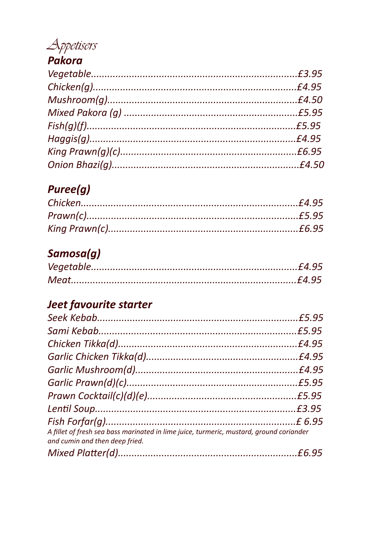# Appetisers

### Pakora

## **Puree(g)**

## Samosa(g)

### **Jeet favourite starter**

| A fillet of fresh sea bass marinated in lime juice, turmeric, mustard, ground coriander<br>and cumin and then deep fried. |  |
|---------------------------------------------------------------------------------------------------------------------------|--|
|                                                                                                                           |  |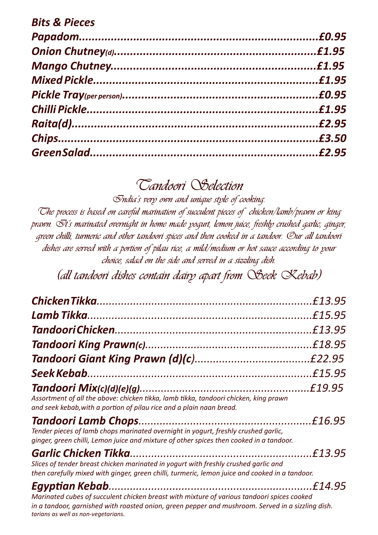| <b>Bits &amp; Pieces</b> |  |
|--------------------------|--|
|                          |  |
|                          |  |
|                          |  |
|                          |  |
|                          |  |
|                          |  |
|                          |  |
|                          |  |
|                          |  |

# **Tandoori Selection**

**India's very own and unique style of cooking.** 

**The process is based on careful marination of succulent pieces of chicken/lamb/prawn or king prawn. It's marinated overnight in home made yogurt, lemon juice, freshly crushed garlic, ginger, green chilli, turmeric and other tandoori spices and then cooked in a tandoor. Our all tandoori dishes are served with a portion of pilau rice, a mild/medium or hot sauce according to your choice, salad on the side and served in a sizzling dish.**

**(all tandoori dishes contain dairy apart from Seek Kebab)**

|                                                                                                                                                                                                 | £13.95  |
|-------------------------------------------------------------------------------------------------------------------------------------------------------------------------------------------------|---------|
|                                                                                                                                                                                                 |         |
|                                                                                                                                                                                                 | £13.95  |
|                                                                                                                                                                                                 |         |
|                                                                                                                                                                                                 |         |
|                                                                                                                                                                                                 |         |
| Assortment of all the above: chicken tikka, lamb tikka, tandoori chicken, king prawn<br>and seek kebab, with a portion of pilau rice and a plain naan bread.                                    |         |
| Tender pieces of lamb chops marinated overnight in yogurt, freshly crushed garlic,<br>ginger, green chilli, Lemon juice and mixture of other spices then cooked in a tandoor.                   |         |
| Slices of tender breast chicken marinated in yogurt with freshly crushed garlic and<br>then carefully mixed with ginger, green chilli, turmeric, lemon juice and cooked in a tandoor.           |         |
| Marinated cubes of succulent chicken breast with mixture of various tandoori spices cooked<br>in a tandoor, garnished with roasted onion, green pepper and mushroom. Served in a sizzling dish. | £14.95. |

*tarians as well as non-vegetarians.*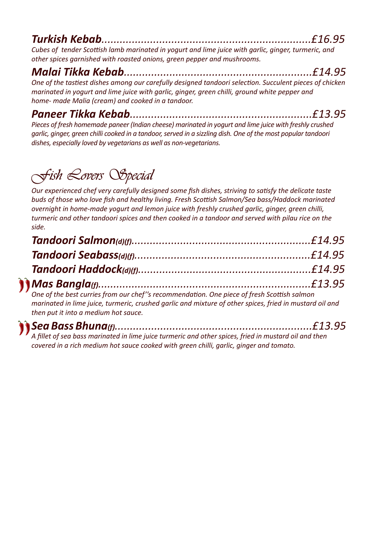### *Turkish Kebab.....................................................................£16.95*

*Cubes of tender Scottish lamb marinated in yogurt and lime juice with garlic, ginger, turmeric, and other spices garnished with roasted onions, green pepper and mushrooms.*

### *Malai Tikka Kebab..............................................................£14.95*

*One of the tastiest dishes among our carefully designed tandoori selection. Succulent pieces of chicken marinated in yogurt and lime juice with garlic, ginger, green chilli, ground white pepper and home- made Malia (cream) and cooked in a tandoor.*

*Paneer Tikka Kebab............................................................£13.95*

*Pieces of fresh homemade paneer (Indian cheese) marinated in yogurt and lime juice with freshly crushed garlic, ginger, green chilli cooked in a tandoor, served in a sizzling dish. One of the most popular tandoori dishes, especially loved by vegetarians as well as non-vegetarians.*

# **Fish Lovers Special**

*Our experienced chef very carefully designed some fish dishes, striving to satisfy the delicate taste buds of those who love fish and healthy living. Fresh Scottish Salmon/Sea bass/Haddock marinated overnight in home-made yogurt and lemon juice with freshly crushed garlic, ginger, green chilli, turmeric and other tandoori spices and then cooked in a tandoor and served with pilau rice on the side.*

*One of the best curries from our chef''s recommendation. One piece of fresh Scottish salmon marinated in lime juice, turmeric, crushed garlic and mixture of other spices, fried in mustard oil and then put it into a medium hot sauce.*

# *Sea Bass Bhuna(f).................................................................£13.95*

*A fillet of sea bass marinated in lime juice turmeric and other spices, fried in mustard oil and then covered in a rich medium hot sauce cooked with green chilli, garlic, ginger and tomato.*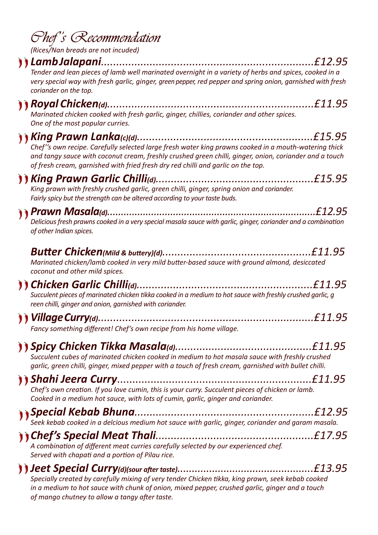|  | <i>Ohef's Recommendation</i> |  |
|--|------------------------------|--|
|--|------------------------------|--|

*(Rices/Nan breads are not incuded)*

#### *Lamb Jalapani......................................................................£12.95*

*Tender and lean pieces of lamb well marinated overnight in a variety of herbs and spices, cooked in a very special way with fresh garlic, ginger, green pepper, red pepper and spring onion, garnished with fresh coriander on the top.*

### *Royal Chicken(d)....................................................................£11.95*

*Marinated chicken cooked with fresh garlic, ginger, chillies, coriander and other spices. One of the most popular curries.*

#### *King Prawn Lanka(c)(d)..........................................................£15.95 Chef''s own recipe. Carefully selected large fresh water king prawns cooked in a mouth-watering thick*

*and tangy sauce with coconut cream, freshly crushed green chilli, ginger, onion, coriander and a touch of fresh cream, garnished with fried fresh dry red chilli and garlic on the top.*

*King Prawn Garlic Chilli(d)....................................................£15.95 King prawn with freshly crushed garlic, green chilli, ginger, spring onion and coriander. Fairly spicy but the strength can be altered according to your taste buds.*

## *Prawn Masala(d)............................................................................£12.95*

*Delicious fresh prawns cooked in a very special masala sauce with garlic, ginger, coriander and a combination of other Indian spices.*

| Marinated chicken/lamb cooked in very mild butter-based sauce with ground almond, desiccated                                                                                                                                                                                                                                                              |               |
|-----------------------------------------------------------------------------------------------------------------------------------------------------------------------------------------------------------------------------------------------------------------------------------------------------------------------------------------------------------|---------------|
| coconut and other mild spices.                                                                                                                                                                                                                                                                                                                            |               |
| $\lambda$ and $\lambda$ and $\lambda$ and $\lambda$ and $\lambda$ and $\lambda$ and $\lambda$ and $\lambda$ and $\lambda$ and $\lambda$ and $\lambda$ and $\lambda$ and $\lambda$ and $\lambda$ and $\lambda$ and $\lambda$ and $\lambda$ and $\lambda$ and $\lambda$ and $\lambda$ and $\lambda$ and $\lambda$ and $\lambda$ and $\lambda$ and $\lambda$ | <i>CAA</i> OF |

*Chicken Garlic Chilli(d)..........................................................£11.95 Succulent pieces of marinated chicken tikka cooked in a medium to hot sauce with freshly crushed garlic, g reen chilli, ginger and onion, garnished with coriander.*

*Village Curry(d).......................................................................£11.95 Fancy something different! Chef's own recipe from his home village.* 

| Succulent cubes of marinated chicken cooked in medium to hot masala sauce with freshly crushed<br>garlic, green chilli, ginger, mixed pepper with a touch of fresh cream, garnished with bullet chilli. |  |
|---------------------------------------------------------------------------------------------------------------------------------------------------------------------------------------------------------|--|
| Chef's own creation. If you love cumin, this is your curry. Succulent pieces of chicken or lamb.<br>Cooked in a medium hot sauce, with lots of cumin, garlic, ginger and coriander.                     |  |
|                                                                                                                                                                                                         |  |
| A combination of different meat curries carefully selected by our experienced chef.<br>Served with chapati and a portion of Pilau rice.                                                                 |  |
|                                                                                                                                                                                                         |  |

*Specially created by carefully mixing of very tender Chicken tikka, king prawn, seek kebab cooked in a medium to hot sauce with chunk of onion, mixed pepper, crushed garlic, ginger and a touch of mango chutney to allow a tangy after taste.*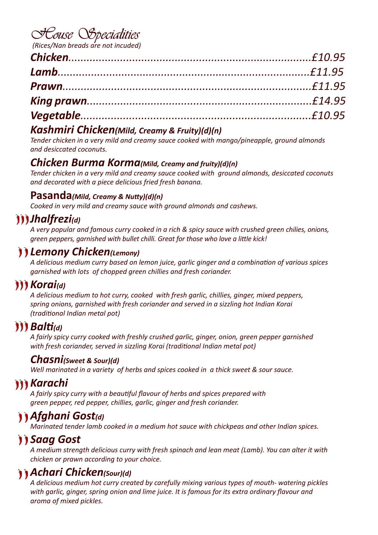## **House Specialities**

*(Rices/Nan breads are not incuded)*

#### *Kashmiri Chicken(Mild, Creamy & Fruity)(d)(n)*

*Tender chicken in a very mild and creamy sauce cooked with mango/pineapple, ground almonds and desiccated coconuts.*

#### *Chicken Burma Korma(Mild, Creamy and fruity)(d)(n)*

*Tender chicken in a very mild and creamy sauce cooked with ground almonds, desiccated coconuts and decorated with a piece delicious fried fresh banana.*

#### **Pasanda***(Mild, Creamy & Nutty)(d)(n)*

*Cooked in very mild and creamy sauce with ground almonds and cashews.*

### *Jhalfrezi(d)*

*A very popular and famous curry cooked in a rich & spicy sauce with crushed green chilies, onions, green peppers, garnished with bullet chilli. Great for those who love a little kick!*

#### *Lemony Chicken(Lemony)*

*A delicious medium curry based on lemon juice, garlic ginger and a combination of various spices garnished with lots of chopped green chillies and fresh coriander.*

### *M Korai(d)*

*A delicious medium to hot curry, cooked with fresh garlic, chillies, ginger, mixed peppers, spring onions, garnished with fresh coriander and served in a sizzling hot Indian Korai (traditional Indian metal pot)*

### *Balti(d)*

*A fairly spicy curry cooked with freshly crushed garlic, ginger, onion, green pepper garnished with fresh coriander, served in sizzling Korai (traditional Indian metal pot)*

#### *Chasni(Sweet & Sour)(d)*

*Well marinated in a variety of herbs and spices cooked in a thick sweet & sour sauce.*

### *Karachi*

*A fairly spicy curry with a beautiful flavour of herbs and spices prepared with green pepper, red pepper, chillies, garlic, ginger and fresh coriander.*

### *Afghani Gost(d)*

*Marinated tender lamb cooked in a medium hot sauce with chickpeas and other Indian spices.*

### **11 Saag Gost**

*A medium strength delicious curry with fresh spinach and lean meat (Lamb). You can alter it with chicken or prawn according to your choice.*

### *Achari Chicken(Sour)(d)*

*A delicious medium hot curry created by carefully mixing various types of mouth- watering pickles with garlic, ginger, spring onion and lime juice. It is famous for its extra ordinary flavour and aroma of mixed pickles.*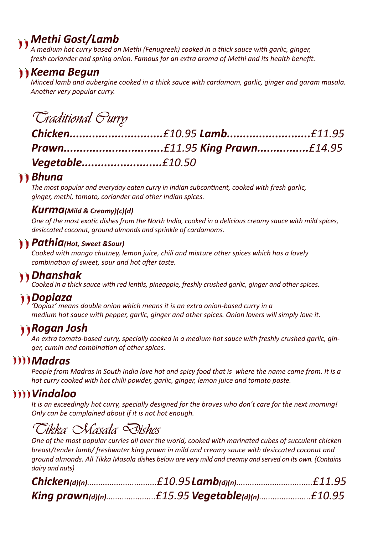### *Methi Gost/Lamb*

*A medium hot curry based on Methi (Fenugreek) cooked in a thick sauce with garlic, ginger, fresh coriander and spring onion. Famous for an extra aroma of Methi and its health benefit.*

### *Keema Begun*

*Minced lamb and aubergine cooked in a thick sauce with cardamom, garlic, ginger and garam masala. Another very popular curry.*

## **Traditional Curry**

| Vegetable£10.50 |  |
|-----------------|--|

#### *Bhuna*

*The most popular and everyday eaten curry in Indian subcontinent, cooked with fresh garlic, ginger, methi, tomato, coriander and other Indian spices.*

#### *Kurma(Mild & Creamy)(c)(d)*

*One of the most exotic dishes from the North India, cooked in a delicious creamy sauce with mild spices, desiccated coconut, ground almonds and sprinkle of cardamoms.*

#### *Pathia(Hot, Sweet &Sour)*

*Cooked with mango chutney, lemon juice, chili and mixture other spices which has a lovely combination of sweet, sour and hot after taste.*

### *Dhanshak*

*Cooked in a thick sauce with red lentils, pineapple, freshly crushed garlic, ginger and other spices.*

### *Dopiaza*

*'Dopiaz' means double onion which means it is an extra onion-based curry in a medium hot sauce with pepper, garlic, ginger and other spices. Onion lovers will simply love it.*

### *Rogan Josh*

*An extra tomato-based curry, specially cooked in a medium hot sauce with freshly crushed garlic, ginger, cumin and combination of other spices.*

#### *Madras*

*People from Madras in South India love hot and spicy food that is where the name came from. It is a hot curry cooked with hot chilli powder, garlic, ginger, lemon juice and tomato paste.*

#### *Vindaloo*

*It is an exceedingly hot curry, specially designed for the braves who don't care for the next morning! Only can be complained about if it is not hot enough.*

## **Tikka Masala Dishes**

*One of the most popular curries all over the world, cooked with marinated cubes of succulent chicken breast/tender lamb/ freshwater king prawn in mild and creamy sauce with desiccated coconut and ground almonds. All Tikka Masala dishes below are very mild and creamy and served on its own. (Contains dairy and nuts)*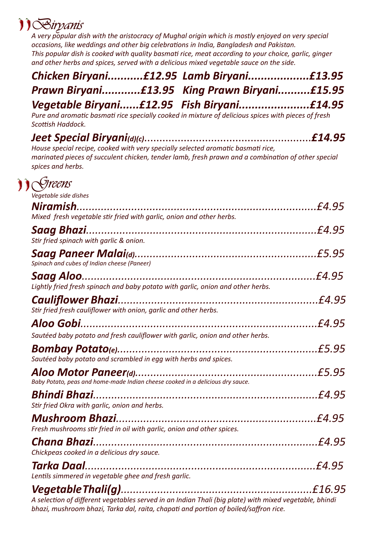# **Biryanis**

*A very popular dish with the aristocracy of Mughal origin which is mostly enjoyed on very special occasions, like weddings and other big celebrations in India, Bangladesh and Pakistan. This popular dish is cooked with quality basmati rice, meat according to your choice, garlic, ginger and other herbs and spices, served with a delicious mixed vegetable sauce on the side.*

| Chicken Biryani£12.95 Lamb Biryani£13.95      |
|-----------------------------------------------|
| Prawn Biryani£13.95 King Prawn Biryani£15.95  |
| Vegetable Biryani£12.95    Fish Biryani£14.95 |

*Pure and aromatic basmati rice specially cooked in mixture of delicious spices with pieces of fresh Scottish Haddock.*

*Jeet Special Biryani(d)(c)*.......................................................*£14.95 House special recipe, cooked with very specially selected aromatic basmati rice, marinated pieces of succulent chicken, tender lamb, fresh prawn and a combination of other special spices and herbs.*



| Vegetable side dishes                                                                                  |        |
|--------------------------------------------------------------------------------------------------------|--------|
|                                                                                                        | £4.95  |
| Mixed fresh vegetable stir fried with garlic, onion and other herbs.                                   |        |
|                                                                                                        |        |
| Stir fried spinach with garlic & onion.                                                                |        |
| Spinach and cubes of Indian cheese (Paneer)                                                            | £5.95  |
| <b>Saag Aloo.</b>                                                                                      | £4.95  |
| Lightly fried fresh spinach and baby potato with garlic, onion and other herbs.                        |        |
|                                                                                                        | £4.95  |
| Stir fried fresh cauliflower with onion, garlic and other herbs.                                       |        |
|                                                                                                        | £4.95  |
| Sautéed baby potato and fresh cauliflower with garlic, onion and other herbs.                          |        |
|                                                                                                        | £5.95  |
| Sautéed baby potato and scrambled in egg with herbs and spices.                                        |        |
|                                                                                                        | £5.95  |
| Baby Potato, peas and home-made Indian cheese cooked in a delicious dry sauce.                         |        |
|                                                                                                        | £4.95  |
| Stir fried Okra with garlic, onion and herbs.                                                          |        |
|                                                                                                        |        |
| Fresh mushrooms stir fried in oil with garlic, onion and other spices.                                 |        |
|                                                                                                        |        |
| Chickpeas cooked in a delicious dry sauce.                                                             |        |
|                                                                                                        | £4.95. |
| Lentils simmered in vegetable ghee and fresh garlic.                                                   |        |
|                                                                                                        | £16.95 |
| A selection of different vegetables served in an Indian Thali (big plate) with mixed vegetable, bhindi |        |
| bhazi, mushroom bhazi, Tarka dal, raita, chapati and portion of boiled/saffron rice.                   |        |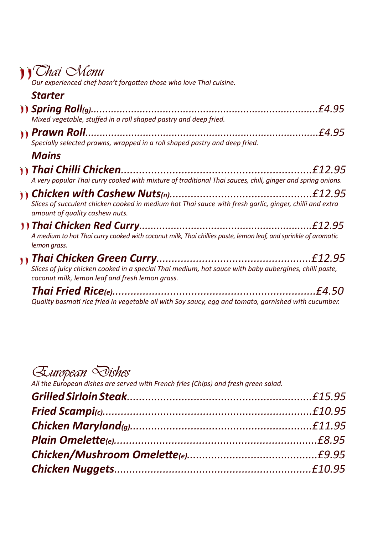# **Thai Menu**

*Our experienced chef hasn't forgotten those who love Thai cuisine.*

| <b>Starter</b>                                                                                                                                            |
|-----------------------------------------------------------------------------------------------------------------------------------------------------------|
| £4.95<br>Mixed vegetable, stuffed in a roll shaped pastry and deep fried.                                                                                 |
| £4.95<br><b><i>(i) Prawn Roll.</i></b><br>Specially selected prawns, wrapped in a roll shaped pastry and deep fried.                                      |
| <b>Mains</b>                                                                                                                                              |
| A very popular Thai curry cooked with mixture of traditional Thai sauces, chili, ginger and spring onions.                                                |
| Slices of succulent chicken cooked in medium hot Thai sauce with fresh garlic, ginger, chilli and extra<br>amount of quality cashew nuts.                 |
| A medium to hot Thai curry cooked with coconut milk, Thai chillies paste, lemon leaf, and sprinkle of aromatic<br>lemon grass.                            |
| Slices of juicy chicken cooked in a special Thai medium, hot sauce with baby aubergines, chilli paste,<br>coconut milk, lemon leaf and fresh lemon grass. |
| £4.50                                                                                                                                                     |

*Quality basmati rice fried in vegetable oil with Soy saucy, egg and tomato, garnished with cucumber.*

## **European Dishes**

*All the European dishes are served with French fries (Chips) and fresh green salad.*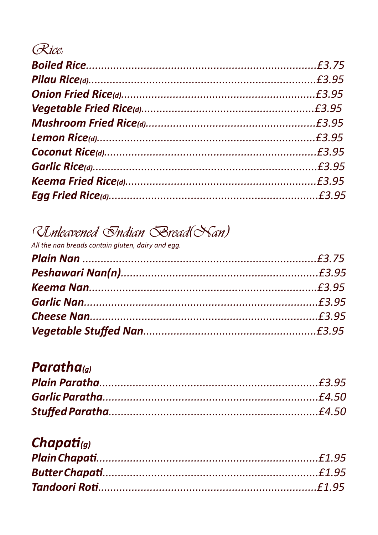## Rice:

# Unleavened Indian Rread(Nan)

All the nan breads contain gluten, dairy and egg.

### Paratha(g)

## Chapati(g)